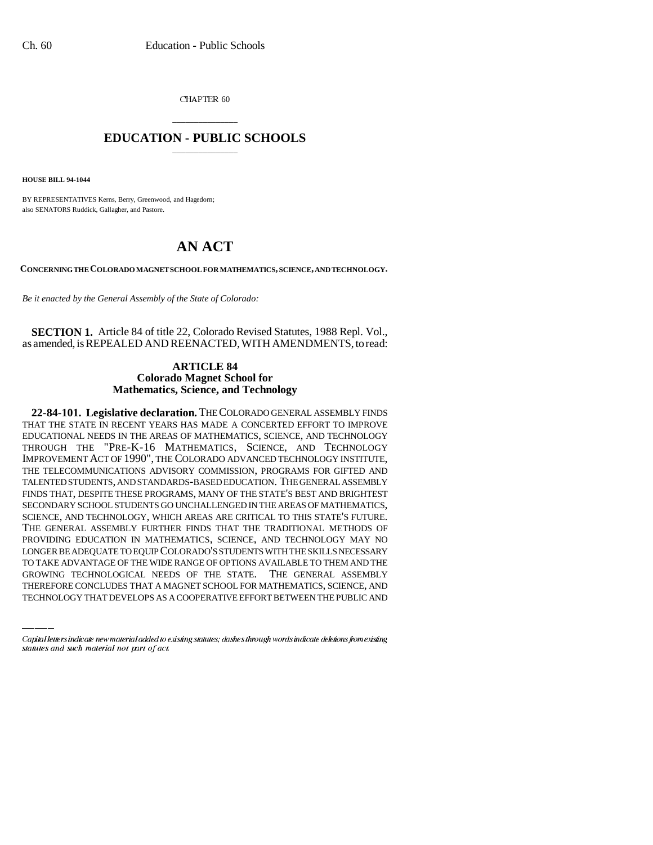CHAPTER 60

## \_\_\_\_\_\_\_\_\_\_\_\_\_\_\_ **EDUCATION - PUBLIC SCHOOLS** \_\_\_\_\_\_\_\_\_\_\_\_\_\_\_

**HOUSE BILL 94-1044**

BY REPRESENTATIVES Kerns, Berry, Greenwood, and Hagedorn; also SENATORS Ruddick, Gallagher, and Pastore.

## **AN ACT**

**CONCERNING THE COLORADO MAGNET SCHOOL FOR MATHEMATICS, SCIENCE, AND TECHNOLOGY.**

*Be it enacted by the General Assembly of the State of Colorado:*

**SECTION 1.** Article 84 of title 22, Colorado Revised Statutes, 1988 Repl. Vol., as amended, is REPEALED AND REENACTED, WITH AMENDMENTS, to read:

## **ARTICLE 84 Colorado Magnet School for Mathematics, Science, and Technology**

LONGER BE ADEQUATE TO EQUIP COLORADO'S STUDENTS WITH THE SKILLS NECESSARY **22-84-101. Legislative declaration.** THE COLORADO GENERAL ASSEMBLY FINDS THAT THE STATE IN RECENT YEARS HAS MADE A CONCERTED EFFORT TO IMPROVE EDUCATIONAL NEEDS IN THE AREAS OF MATHEMATICS, SCIENCE, AND TECHNOLOGY THROUGH THE "PRE-K-16 MATHEMATICS, SCIENCE, AND TECHNOLOGY IMPROVEMENT ACT OF 1990", THE COLORADO ADVANCED TECHNOLOGY INSTITUTE, THE TELECOMMUNICATIONS ADVISORY COMMISSION, PROGRAMS FOR GIFTED AND TALENTED STUDENTS, AND STANDARDS-BASED EDUCATION. THE GENERAL ASSEMBLY FINDS THAT, DESPITE THESE PROGRAMS, MANY OF THE STATE'S BEST AND BRIGHTEST SECONDARY SCHOOL STUDENTS GO UNCHALLENGED IN THE AREAS OF MATHEMATICS, SCIENCE, AND TECHNOLOGY, WHICH AREAS ARE CRITICAL TO THIS STATE'S FUTURE. THE GENERAL ASSEMBLY FURTHER FINDS THAT THE TRADITIONAL METHODS OF PROVIDING EDUCATION IN MATHEMATICS, SCIENCE, AND TECHNOLOGY MAY NO TO TAKE ADVANTAGE OF THE WIDE RANGE OF OPTIONS AVAILABLE TO THEM AND THE GROWING TECHNOLOGICAL NEEDS OF THE STATE. THE GENERAL ASSEMBLY THEREFORE CONCLUDES THAT A MAGNET SCHOOL FOR MATHEMATICS, SCIENCE, AND TECHNOLOGY THAT DEVELOPS AS A COOPERATIVE EFFORT BETWEEN THE PUBLIC AND

Capital letters indicate new material added to existing statutes; dashes through words indicate deletions from existing statutes and such material not part of act.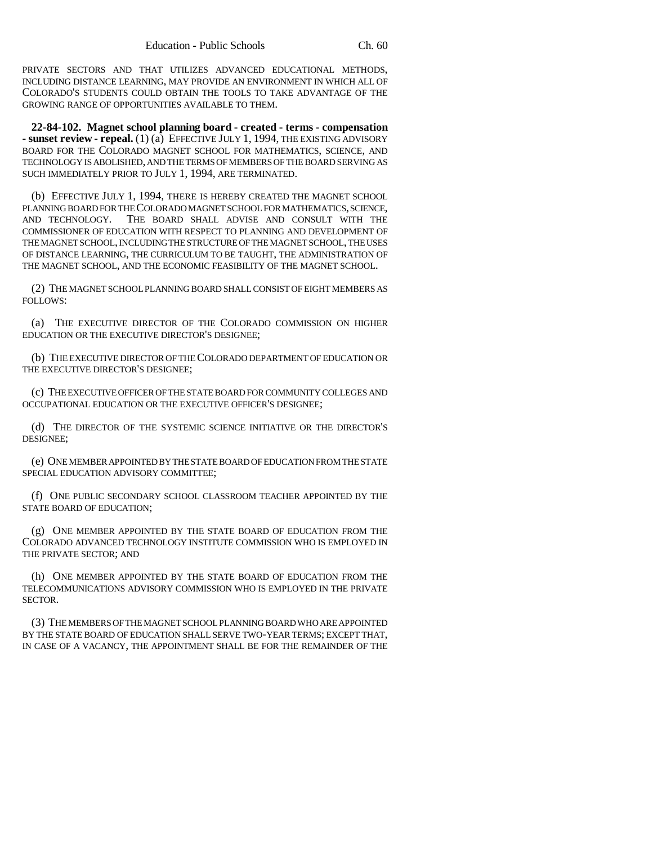PRIVATE SECTORS AND THAT UTILIZES ADVANCED EDUCATIONAL METHODS, INCLUDING DISTANCE LEARNING, MAY PROVIDE AN ENVIRONMENT IN WHICH ALL OF COLORADO'S STUDENTS COULD OBTAIN THE TOOLS TO TAKE ADVANTAGE OF THE GROWING RANGE OF OPPORTUNITIES AVAILABLE TO THEM.

**22-84-102. Magnet school planning board - created - terms - compensation - sunset review - repeal.** (1) (a) EFFECTIVE JULY 1, 1994, THE EXISTING ADVISORY BOARD FOR THE COLORADO MAGNET SCHOOL FOR MATHEMATICS, SCIENCE, AND TECHNOLOGY IS ABOLISHED, AND THE TERMS OF MEMBERS OF THE BOARD SERVING AS SUCH IMMEDIATELY PRIOR TO JULY 1, 1994, ARE TERMINATED.

(b) EFFECTIVE JULY 1, 1994, THERE IS HEREBY CREATED THE MAGNET SCHOOL PLANNING BOARD FOR THE COLORADO MAGNET SCHOOL FOR MATHEMATICS, SCIENCE, AND TECHNOLOGY. THE BOARD SHALL ADVISE AND CONSULT WITH THE COMMISSIONER OF EDUCATION WITH RESPECT TO PLANNING AND DEVELOPMENT OF THE MAGNET SCHOOL, INCLUDING THE STRUCTURE OF THE MAGNET SCHOOL, THE USES OF DISTANCE LEARNING, THE CURRICULUM TO BE TAUGHT, THE ADMINISTRATION OF THE MAGNET SCHOOL, AND THE ECONOMIC FEASIBILITY OF THE MAGNET SCHOOL.

(2) THE MAGNET SCHOOL PLANNING BOARD SHALL CONSIST OF EIGHT MEMBERS AS FOLLOWS:

(a) THE EXECUTIVE DIRECTOR OF THE COLORADO COMMISSION ON HIGHER EDUCATION OR THE EXECUTIVE DIRECTOR'S DESIGNEE;

(b) THE EXECUTIVE DIRECTOR OF THE COLORADO DEPARTMENT OF EDUCATION OR THE EXECUTIVE DIRECTOR'S DESIGNEE;

(c) THE EXECUTIVE OFFICER OF THE STATE BOARD FOR COMMUNITY COLLEGES AND OCCUPATIONAL EDUCATION OR THE EXECUTIVE OFFICER'S DESIGNEE;

(d) THE DIRECTOR OF THE SYSTEMIC SCIENCE INITIATIVE OR THE DIRECTOR'S DESIGNEE;

(e) ONE MEMBER APPOINTED BY THE STATE BOARD OF EDUCATION FROM THE STATE SPECIAL EDUCATION ADVISORY COMMITTEE;

(f) ONE PUBLIC SECONDARY SCHOOL CLASSROOM TEACHER APPOINTED BY THE STATE BOARD OF EDUCATION;

(g) ONE MEMBER APPOINTED BY THE STATE BOARD OF EDUCATION FROM THE COLORADO ADVANCED TECHNOLOGY INSTITUTE COMMISSION WHO IS EMPLOYED IN THE PRIVATE SECTOR; AND

(h) ONE MEMBER APPOINTED BY THE STATE BOARD OF EDUCATION FROM THE TELECOMMUNICATIONS ADVISORY COMMISSION WHO IS EMPLOYED IN THE PRIVATE SECTOR.

(3) THE MEMBERS OF THE MAGNET SCHOOL PLANNING BOARD WHO ARE APPOINTED BY THE STATE BOARD OF EDUCATION SHALL SERVE TWO-YEAR TERMS; EXCEPT THAT, IN CASE OF A VACANCY, THE APPOINTMENT SHALL BE FOR THE REMAINDER OF THE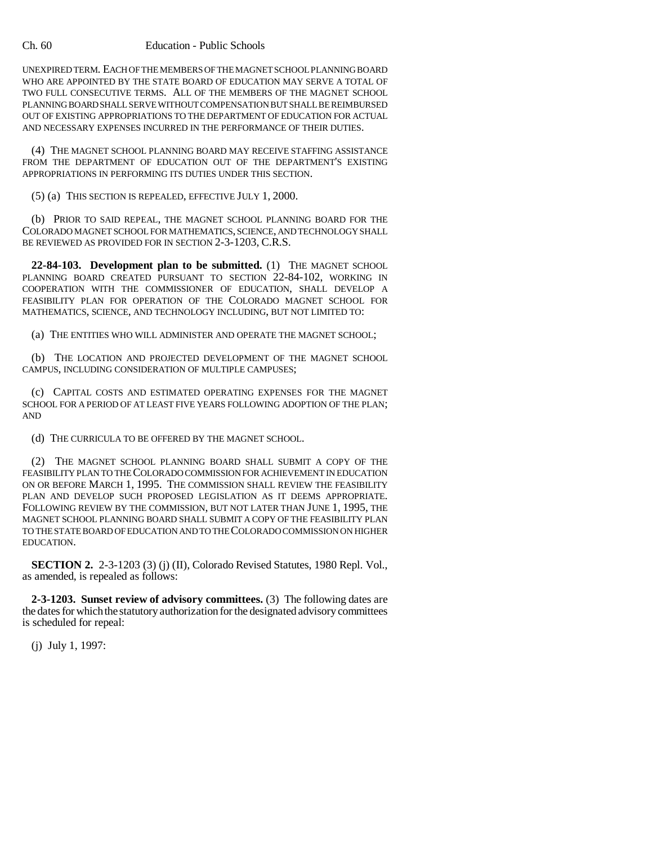## Ch. 60 Education - Public Schools

UNEXPIRED TERM. EACH OF THE MEMBERS OF THE MAGNET SCHOOL PLANNING BOARD WHO ARE APPOINTED BY THE STATE BOARD OF EDUCATION MAY SERVE A TOTAL OF TWO FULL CONSECUTIVE TERMS. ALL OF THE MEMBERS OF THE MAGNET SCHOOL PLANNING BOARD SHALL SERVE WITHOUT COMPENSATION BUT SHALL BE REIMBURSED OUT OF EXISTING APPROPRIATIONS TO THE DEPARTMENT OF EDUCATION FOR ACTUAL AND NECESSARY EXPENSES INCURRED IN THE PERFORMANCE OF THEIR DUTIES.

(4) THE MAGNET SCHOOL PLANNING BOARD MAY RECEIVE STAFFING ASSISTANCE FROM THE DEPARTMENT OF EDUCATION OUT OF THE DEPARTMENT'S EXISTING APPROPRIATIONS IN PERFORMING ITS DUTIES UNDER THIS SECTION.

(5) (a) THIS SECTION IS REPEALED, EFFECTIVE JULY 1, 2000.

(b) PRIOR TO SAID REPEAL, THE MAGNET SCHOOL PLANNING BOARD FOR THE COLORADO MAGNET SCHOOL FOR MATHEMATICS, SCIENCE, AND TECHNOLOGY SHALL BE REVIEWED AS PROVIDED FOR IN SECTION 2-3-1203, C.R.S.

**22-84-103. Development plan to be submitted.** (1) THE MAGNET SCHOOL PLANNING BOARD CREATED PURSUANT TO SECTION 22-84-102, WORKING IN COOPERATION WITH THE COMMISSIONER OF EDUCATION, SHALL DEVELOP A FEASIBILITY PLAN FOR OPERATION OF THE COLORADO MAGNET SCHOOL FOR MATHEMATICS, SCIENCE, AND TECHNOLOGY INCLUDING, BUT NOT LIMITED TO:

(a) THE ENTITIES WHO WILL ADMINISTER AND OPERATE THE MAGNET SCHOOL;

(b) THE LOCATION AND PROJECTED DEVELOPMENT OF THE MAGNET SCHOOL CAMPUS, INCLUDING CONSIDERATION OF MULTIPLE CAMPUSES;

(c) CAPITAL COSTS AND ESTIMATED OPERATING EXPENSES FOR THE MAGNET SCHOOL FOR A PERIOD OF AT LEAST FIVE YEARS FOLLOWING ADOPTION OF THE PLAN; AND

(d) THE CURRICULA TO BE OFFERED BY THE MAGNET SCHOOL.

(2) THE MAGNET SCHOOL PLANNING BOARD SHALL SUBMIT A COPY OF THE FEASIBILITY PLAN TO THE COLORADO COMMISSION FOR ACHIEVEMENT IN EDUCATION ON OR BEFORE MARCH 1, 1995. THE COMMISSION SHALL REVIEW THE FEASIBILITY PLAN AND DEVELOP SUCH PROPOSED LEGISLATION AS IT DEEMS APPROPRIATE. FOLLOWING REVIEW BY THE COMMISSION, BUT NOT LATER THAN JUNE 1, 1995, THE MAGNET SCHOOL PLANNING BOARD SHALL SUBMIT A COPY OF THE FEASIBILITY PLAN TO THE STATE BOARD OF EDUCATION AND TO THE COLORADO COMMISSION ON HIGHER EDUCATION.

**SECTION 2.** 2-3-1203 (3) (j) (II), Colorado Revised Statutes, 1980 Repl. Vol., as amended, is repealed as follows:

**2-3-1203. Sunset review of advisory committees.** (3) The following dates are the dates for which the statutory authorization for the designated advisory committees is scheduled for repeal:

(j) July 1, 1997: